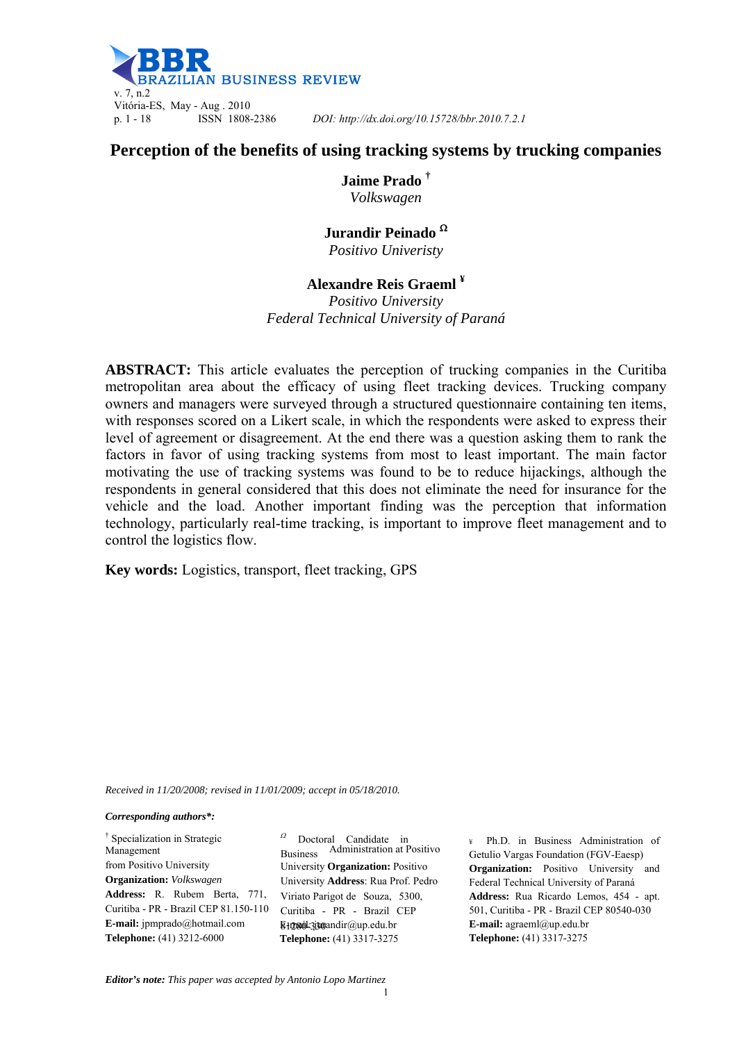

p. 1 - 18 ISSN 1808-2386 *DOI: http://dx.doi.org/10.15728/bbr.2010.7.2.1*

# **Perception of the benefits of using tracking systems by trucking companies**

**Jaime Prado †** *Volkswagen* 

## **Jurandir Peinado**  *Positivo Univeristy*

# **Alexandre Reis Graeml ¥**

*Positivo University Federal Technical University of Paraná* 

**ABSTRACT:** This article evaluates the perception of trucking companies in the Curitiba metropolitan area about the efficacy of using fleet tracking devices. Trucking company owners and managers were surveyed through a structured questionnaire containing ten items, with responses scored on a Likert scale, in which the respondents were asked to express their level of agreement or disagreement. At the end there was a question asking them to rank the factors in favor of using tracking systems from most to least important. The main factor motivating the use of tracking systems was found to be to reduce hijackings, although the respondents in general considered that this does not eliminate the need for insurance for the vehicle and the load. Another important finding was the perception that information technology, particularly real-time tracking, is important to improve fleet management and to control the logistics flow.

**Key words:** Logistics, transport, fleet tracking, GPS

*Received in 11/20/2008; revised in 11/01/2009; accept in 05/18/2010.*

*Corresponding authors\*:* 

† Specialization in Strategic Management from Positivo University **Organization:** *Volkswagen* **Address:** R. Rubem Berta, 771, Curitiba - PR - Brazil CEP 81.150-110 **E-mail:** jpmprado@hotmail.com **Telephone:** (41) 3212-6000

<sup>Ω</sup> Doctoral Candidate in Business Administration at Positivo University **Organization:** Positivo University **Address**: Rua Prof. Pedro Viriato Parigot de Souza, 5300, Curitiba - PR - Brazil CEP  $E1280L330$  and  $\text{irr}(a)$  up.edu. br **Telephone:** (41) 3317-3275

¥ Ph.D. in Business Administration of Getulio Vargas Foundation (FGV-Eaesp) **Organization:** Positivo University and Federal Technical University of Paraná **Address:** Rua Ricardo Lemos, 454 - apt. 501, Curitiba - PR - Brazil CEP 80540-030 **E-mail:** agraeml@up.edu.br **Telephone:** (41) 3317-3275

*Editor's note: This paper was accepted by Antonio Lopo Martinez*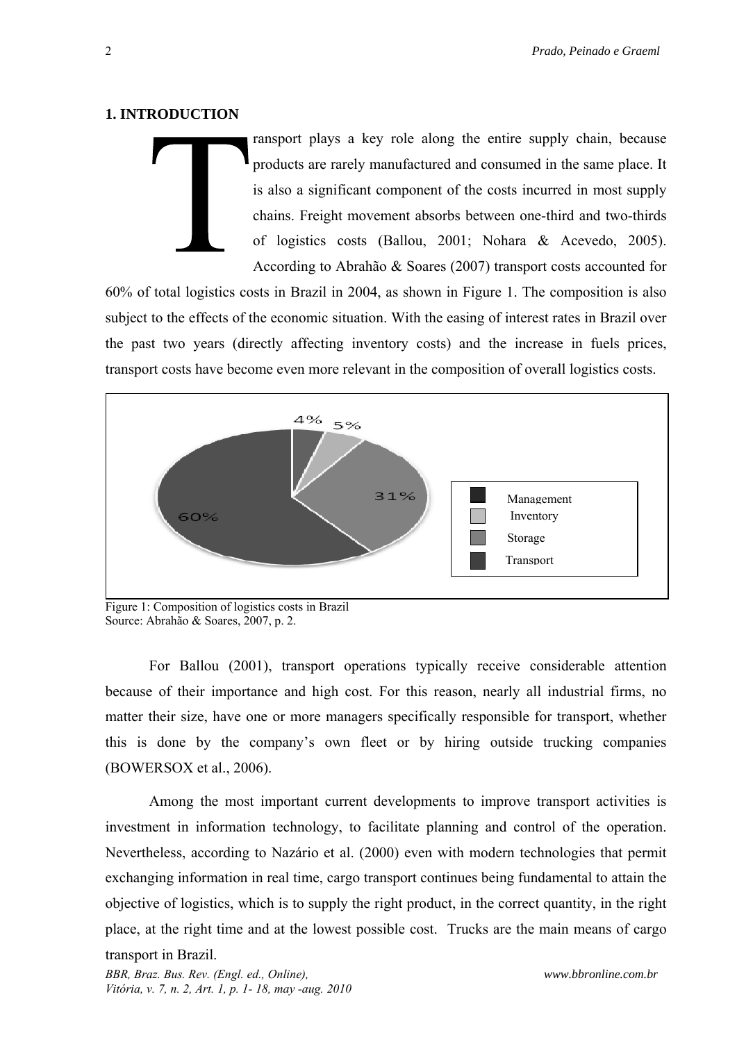#### **1. INTRODUCTION**

ransport plays a key role along the entire supply chain, because products are rarely manufactured and consumed in the same place. It is also a significant component of the costs incurred in most supply chains. Freight movement absorbs between one-third and two-thirds of logistics costs (Ballou, 2001; Nohara & Acevedo, 2005). According to Abrahão & Soares (2007) transport costs accounted for

60% of total logistics costs in Brazil in 2004, as shown in Figure 1. The composition is also subject to the effects of the economic situation. With the easing of interest rates in Brazil over the past two years (directly affecting inventory costs) and the increase in fuels prices, transport costs have become even more relevant in the composition of overall logistics costs.



Figure 1: Composition of logistics costs in Brazil Source: Abrahão & Soares, 2007, p. 2.

For Ballou (2001), transport operations typically receive considerable attention because of their importance and high cost. For this reason, nearly all industrial firms, no matter their size, have one or more managers specifically responsible for transport, whether this is done by the company's own fleet or by hiring outside trucking companies (BOWERSOX et al., 2006).

Among the most important current developments to improve transport activities is investment in information technology, to facilitate planning and control of the operation. Nevertheless, according to Nazário et al. (2000) even with modern technologies that permit exchanging information in real time, cargo transport continues being fundamental to attain the objective of logistics, which is to supply the right product, in the correct quantity, in the right place, at the right time and at the lowest possible cost. Trucks are the main means of cargo

## transport in Brazil.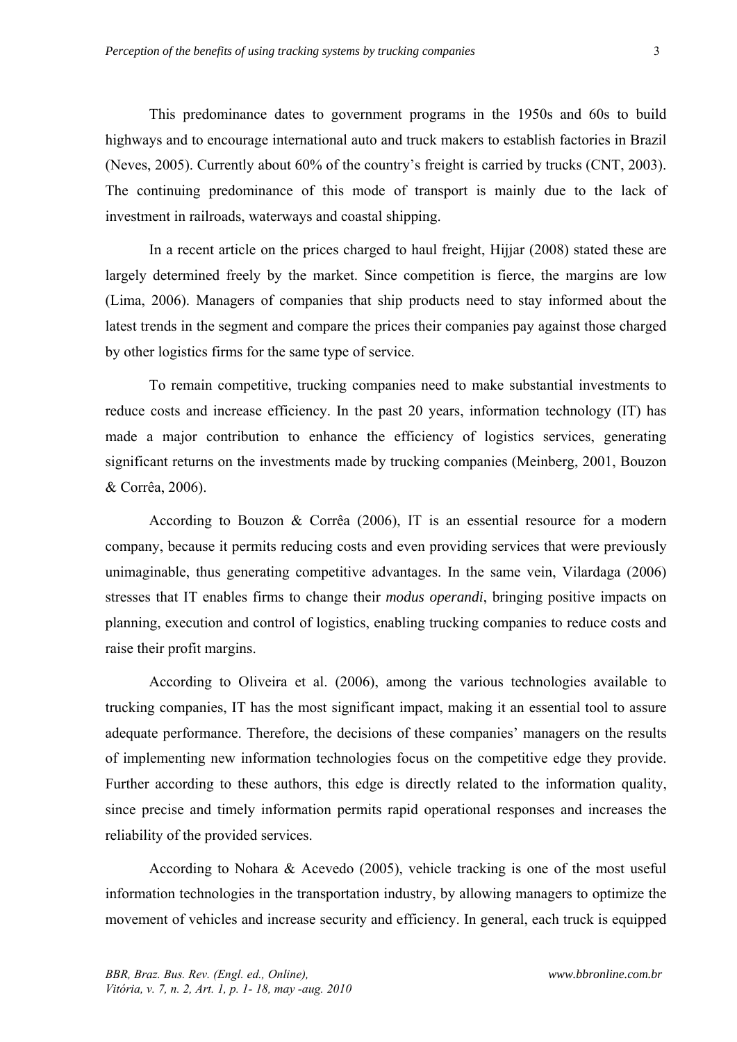This predominance dates to government programs in the 1950s and 60s to build highways and to encourage international auto and truck makers to establish factories in Brazil (Neves, 2005). Currently about 60% of the country's freight is carried by trucks (CNT, 2003). The continuing predominance of this mode of transport is mainly due to the lack of investment in railroads, waterways and coastal shipping.

In a recent article on the prices charged to haul freight, Hijjar (2008) stated these are largely determined freely by the market. Since competition is fierce, the margins are low (Lima, 2006). Managers of companies that ship products need to stay informed about the latest trends in the segment and compare the prices their companies pay against those charged by other logistics firms for the same type of service.

To remain competitive, trucking companies need to make substantial investments to reduce costs and increase efficiency. In the past 20 years, information technology (IT) has made a major contribution to enhance the efficiency of logistics services, generating significant returns on the investments made by trucking companies (Meinberg, 2001, Bouzon & Corrêa, 2006).

According to Bouzon & Corrêa (2006), IT is an essential resource for a modern company, because it permits reducing costs and even providing services that were previously unimaginable, thus generating competitive advantages. In the same vein, Vilardaga (2006) stresses that IT enables firms to change their *modus operandi*, bringing positive impacts on planning, execution and control of logistics, enabling trucking companies to reduce costs and raise their profit margins.

According to Oliveira et al. (2006), among the various technologies available to trucking companies, IT has the most significant impact, making it an essential tool to assure adequate performance. Therefore, the decisions of these companies' managers on the results of implementing new information technologies focus on the competitive edge they provide. Further according to these authors, this edge is directly related to the information quality, since precise and timely information permits rapid operational responses and increases the reliability of the provided services.

According to Nohara & Acevedo (2005), vehicle tracking is one of the most useful information technologies in the transportation industry, by allowing managers to optimize the movement of vehicles and increase security and efficiency. In general, each truck is equipped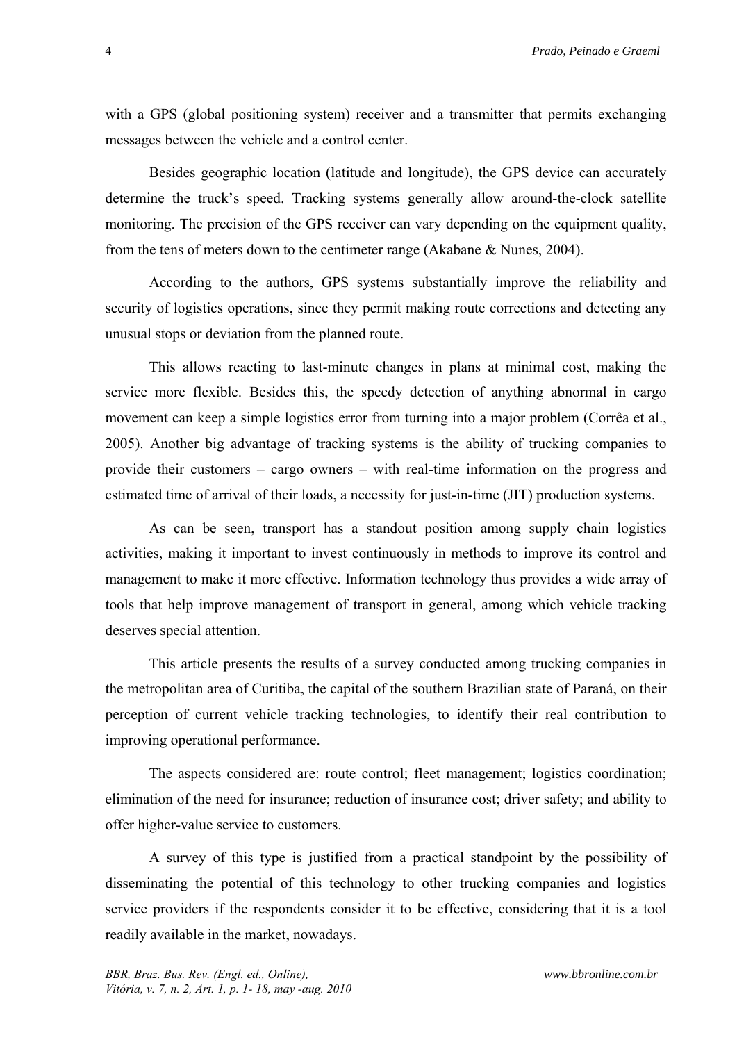4 *Prado, Peinado e Graeml*

with a GPS (global positioning system) receiver and a transmitter that permits exchanging messages between the vehicle and a control center.

Besides geographic location (latitude and longitude), the GPS device can accurately determine the truck's speed. Tracking systems generally allow around-the-clock satellite monitoring. The precision of the GPS receiver can vary depending on the equipment quality, from the tens of meters down to the centimeter range (Akabane & Nunes, 2004).

According to the authors, GPS systems substantially improve the reliability and security of logistics operations, since they permit making route corrections and detecting any unusual stops or deviation from the planned route.

This allows reacting to last-minute changes in plans at minimal cost, making the service more flexible. Besides this, the speedy detection of anything abnormal in cargo movement can keep a simple logistics error from turning into a major problem (Corrêa et al., 2005). Another big advantage of tracking systems is the ability of trucking companies to provide their customers – cargo owners – with real-time information on the progress and estimated time of arrival of their loads, a necessity for just-in-time (JIT) production systems.

As can be seen, transport has a standout position among supply chain logistics activities, making it important to invest continuously in methods to improve its control and management to make it more effective. Information technology thus provides a wide array of tools that help improve management of transport in general, among which vehicle tracking deserves special attention.

This article presents the results of a survey conducted among trucking companies in the metropolitan area of Curitiba, the capital of the southern Brazilian state of Paraná, on their perception of current vehicle tracking technologies, to identify their real contribution to improving operational performance.

The aspects considered are: route control; fleet management; logistics coordination; elimination of the need for insurance; reduction of insurance cost; driver safety; and ability to offer higher-value service to customers.

A survey of this type is justified from a practical standpoint by the possibility of disseminating the potential of this technology to other trucking companies and logistics service providers if the respondents consider it to be effective, considering that it is a tool readily available in the market, nowadays.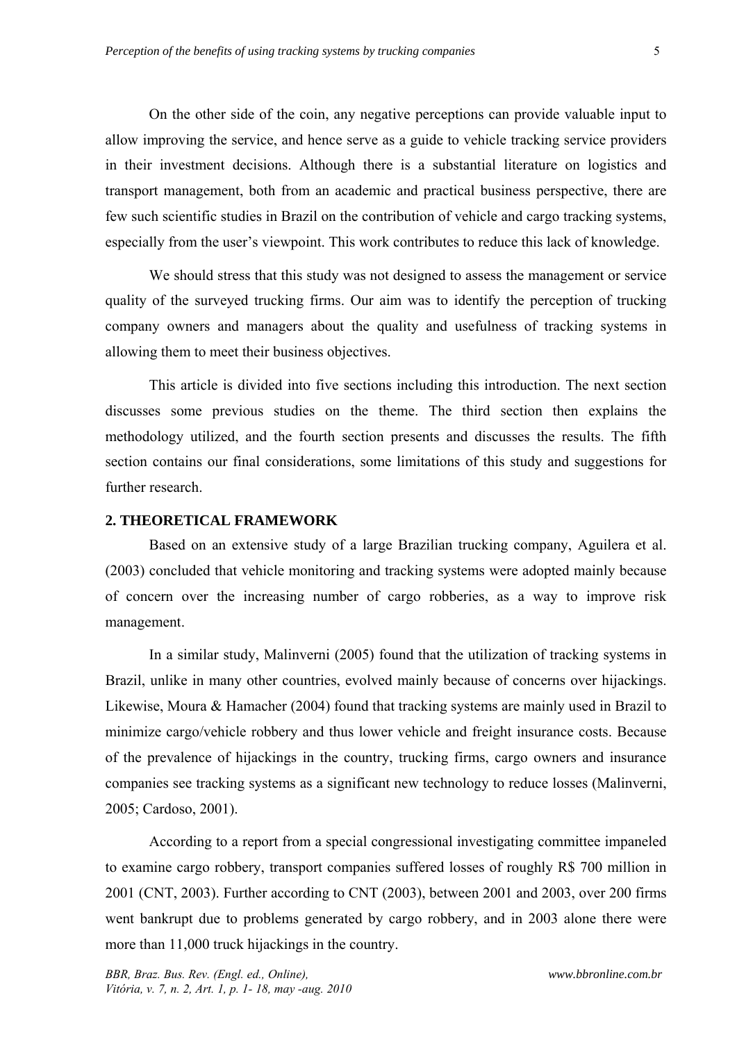On the other side of the coin, any negative perceptions can provide valuable input to allow improving the service, and hence serve as a guide to vehicle tracking service providers in their investment decisions. Although there is a substantial literature on logistics and transport management, both from an academic and practical business perspective, there are few such scientific studies in Brazil on the contribution of vehicle and cargo tracking systems, especially from the user's viewpoint. This work contributes to reduce this lack of knowledge.

We should stress that this study was not designed to assess the management or service quality of the surveyed trucking firms. Our aim was to identify the perception of trucking company owners and managers about the quality and usefulness of tracking systems in allowing them to meet their business objectives.

This article is divided into five sections including this introduction. The next section discusses some previous studies on the theme. The third section then explains the methodology utilized, and the fourth section presents and discusses the results. The fifth section contains our final considerations, some limitations of this study and suggestions for further research.

#### **2. THEORETICAL FRAMEWORK**

Based on an extensive study of a large Brazilian trucking company, Aguilera et al. (2003) concluded that vehicle monitoring and tracking systems were adopted mainly because of concern over the increasing number of cargo robberies, as a way to improve risk management.

In a similar study, Malinverni (2005) found that the utilization of tracking systems in Brazil, unlike in many other countries, evolved mainly because of concerns over hijackings. Likewise, Moura & Hamacher (2004) found that tracking systems are mainly used in Brazil to minimize cargo/vehicle robbery and thus lower vehicle and freight insurance costs. Because of the prevalence of hijackings in the country, trucking firms, cargo owners and insurance companies see tracking systems as a significant new technology to reduce losses (Malinverni, 2005; Cardoso, 2001).

According to a report from a special congressional investigating committee impaneled to examine cargo robbery, transport companies suffered losses of roughly R\$ 700 million in 2001 (CNT, 2003). Further according to CNT (2003), between 2001 and 2003, over 200 firms went bankrupt due to problems generated by cargo robbery, and in 2003 alone there were more than 11,000 truck hijackings in the country.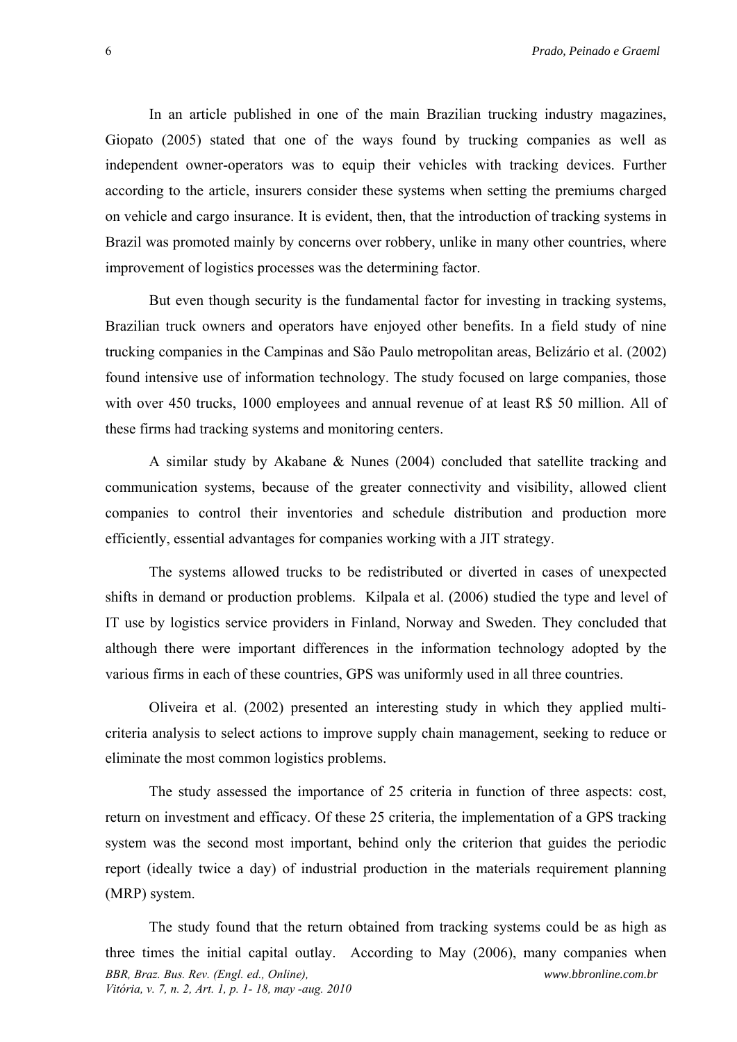In an article published in one of the main Brazilian trucking industry magazines, Giopato (2005) stated that one of the ways found by trucking companies as well as independent owner-operators was to equip their vehicles with tracking devices. Further according to the article, insurers consider these systems when setting the premiums charged on vehicle and cargo insurance. It is evident, then, that the introduction of tracking systems in Brazil was promoted mainly by concerns over robbery, unlike in many other countries, where improvement of logistics processes was the determining factor.

But even though security is the fundamental factor for investing in tracking systems, Brazilian truck owners and operators have enjoyed other benefits. In a field study of nine trucking companies in the Campinas and São Paulo metropolitan areas, Belizário et al. (2002) found intensive use of information technology. The study focused on large companies, those with over 450 trucks, 1000 employees and annual revenue of at least R\$ 50 million. All of these firms had tracking systems and monitoring centers.

A similar study by Akabane & Nunes (2004) concluded that satellite tracking and communication systems, because of the greater connectivity and visibility, allowed client companies to control their inventories and schedule distribution and production more efficiently, essential advantages for companies working with a JIT strategy.

The systems allowed trucks to be redistributed or diverted in cases of unexpected shifts in demand or production problems. Kilpala et al. (2006) studied the type and level of IT use by logistics service providers in Finland, Norway and Sweden. They concluded that although there were important differences in the information technology adopted by the various firms in each of these countries, GPS was uniformly used in all three countries.

Oliveira et al. (2002) presented an interesting study in which they applied multicriteria analysis to select actions to improve supply chain management, seeking to reduce or eliminate the most common logistics problems.

The study assessed the importance of 25 criteria in function of three aspects: cost, return on investment and efficacy. Of these 25 criteria, the implementation of a GPS tracking system was the second most important, behind only the criterion that guides the periodic report (ideally twice a day) of industrial production in the materials requirement planning (MRP) system.

*BBR, Braz. Bus. Rev. (Engl. ed., Online), Vitória, v. 7, n. 2, Art. 1, p. 1- 18, may -aug. 2010 www.bbronline.com.br*  The study found that the return obtained from tracking systems could be as high as three times the initial capital outlay. According to May (2006), many companies when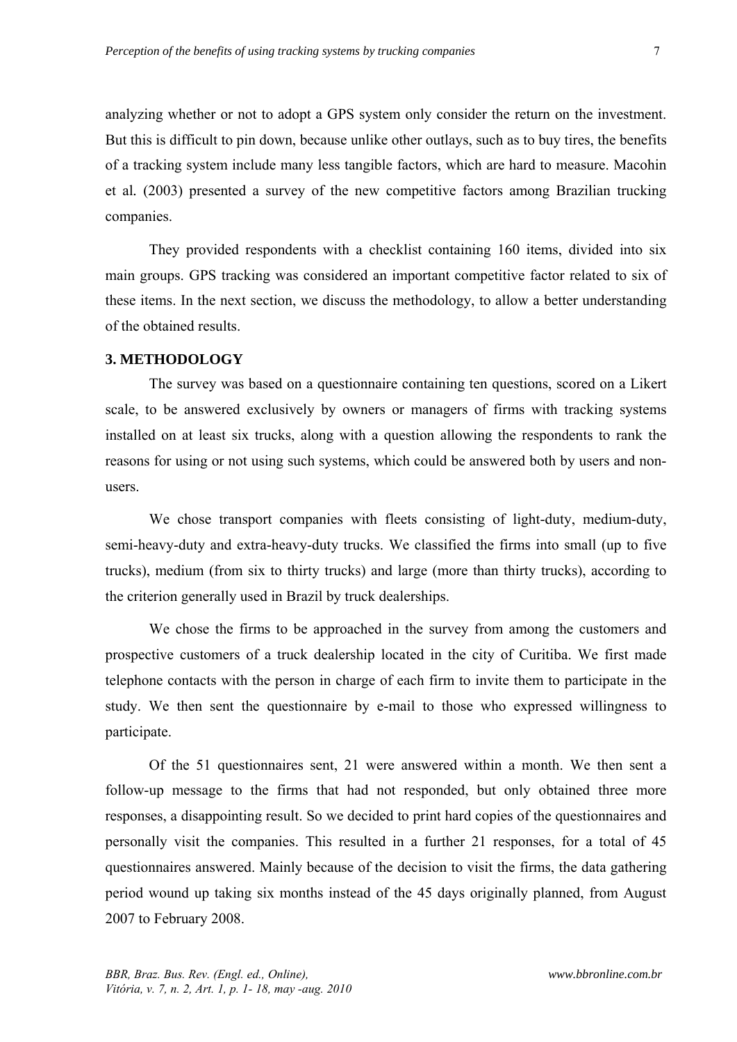analyzing whether or not to adopt a GPS system only consider the return on the investment. But this is difficult to pin down, because unlike other outlays, such as to buy tires, the benefits of a tracking system include many less tangible factors, which are hard to measure. Macohin et al*.* (2003) presented a survey of the new competitive factors among Brazilian trucking companies.

They provided respondents with a checklist containing 160 items, divided into six main groups. GPS tracking was considered an important competitive factor related to six of these items. In the next section, we discuss the methodology, to allow a better understanding of the obtained results.

## **3. METHODOLOGY**

The survey was based on a questionnaire containing ten questions, scored on a Likert scale, to be answered exclusively by owners or managers of firms with tracking systems installed on at least six trucks, along with a question allowing the respondents to rank the reasons for using or not using such systems, which could be answered both by users and nonusers.

We chose transport companies with fleets consisting of light-duty, medium-duty, semi-heavy-duty and extra-heavy-duty trucks. We classified the firms into small (up to five trucks), medium (from six to thirty trucks) and large (more than thirty trucks), according to the criterion generally used in Brazil by truck dealerships.

We chose the firms to be approached in the survey from among the customers and prospective customers of a truck dealership located in the city of Curitiba. We first made telephone contacts with the person in charge of each firm to invite them to participate in the study. We then sent the questionnaire by e-mail to those who expressed willingness to participate.

Of the 51 questionnaires sent, 21 were answered within a month. We then sent a follow-up message to the firms that had not responded, but only obtained three more responses, a disappointing result. So we decided to print hard copies of the questionnaires and personally visit the companies. This resulted in a further 21 responses, for a total of 45 questionnaires answered. Mainly because of the decision to visit the firms, the data gathering period wound up taking six months instead of the 45 days originally planned, from August 2007 to February 2008.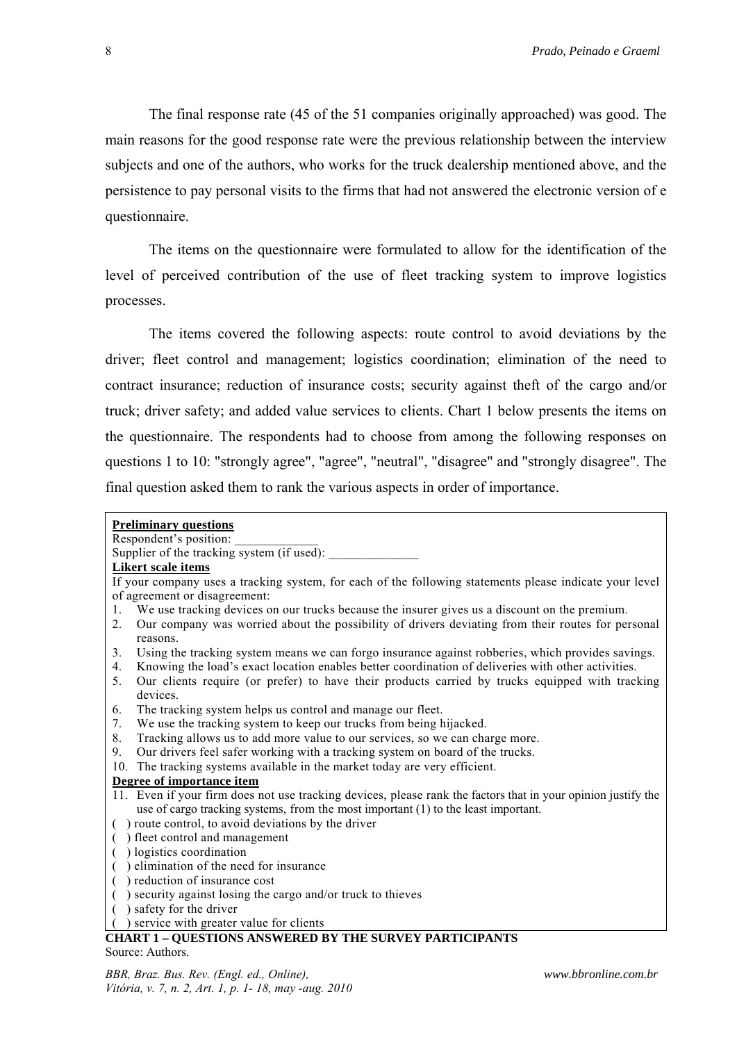The final response rate (45 of the 51 companies originally approached) was good. The main reasons for the good response rate were the previous relationship between the interview subjects and one of the authors, who works for the truck dealership mentioned above, and the persistence to pay personal visits to the firms that had not answered the electronic version of e questionnaire.

The items on the questionnaire were formulated to allow for the identification of the level of perceived contribution of the use of fleet tracking system to improve logistics processes.

The items covered the following aspects: route control to avoid deviations by the driver; fleet control and management; logistics coordination; elimination of the need to contract insurance; reduction of insurance costs; security against theft of the cargo and/or truck; driver safety; and added value services to clients. Chart 1 below presents the items on the questionnaire. The respondents had to choose from among the following responses on questions 1 to 10: "strongly agree", "agree", "neutral", "disagree" and "strongly disagree". The final question asked them to rank the various aspects in order of importance.

| <b>Preliminary questions</b>                                                                                                                                                                                                    |
|---------------------------------------------------------------------------------------------------------------------------------------------------------------------------------------------------------------------------------|
| Respondent's position:                                                                                                                                                                                                          |
| Supplier of the tracking system (if used):                                                                                                                                                                                      |
| <b>Likert scale items</b>                                                                                                                                                                                                       |
| If your company uses a tracking system, for each of the following statements please indicate your level                                                                                                                         |
| of agreement or disagreement:                                                                                                                                                                                                   |
| We use tracking devices on our trucks because the insurer gives us a discount on the premium.<br>$\mathbf{1}$ .                                                                                                                 |
| Our company was worried about the possibility of drivers deviating from their routes for personal<br>2.<br>reasons.                                                                                                             |
| Using the tracking system means we can forgo insurance against robberies, which provides savings.<br>3 <sub>1</sub><br>Knowing the load's exact location enables better coordination of deliveries with other activities.<br>4. |
| 5.<br>Our clients require (or prefer) to have their products carried by trucks equipped with tracking<br>devices.                                                                                                               |
| The tracking system helps us control and manage our fleet.<br>6.                                                                                                                                                                |
| We use the tracking system to keep our trucks from being hijacked.<br>7.                                                                                                                                                        |
| 8.<br>Tracking allows us to add more value to our services, so we can charge more.                                                                                                                                              |
| 9.<br>Our drivers feel safer working with a tracking system on board of the trucks.                                                                                                                                             |
| The tracking systems available in the market today are very efficient.<br>10.                                                                                                                                                   |
| Degree of importance item                                                                                                                                                                                                       |
| 11. Even if your firm does not use tracking devices, please rank the factors that in your opinion justify the<br>use of cargo tracking systems, from the most important $(1)$ to the least important.                           |
| ) route control, to avoid deviations by the driver                                                                                                                                                                              |
| ) fleet control and management                                                                                                                                                                                                  |
| ) logistics coordination                                                                                                                                                                                                        |
| ) elimination of the need for insurance                                                                                                                                                                                         |
| ) reduction of insurance cost                                                                                                                                                                                                   |
| ) security against losing the cargo and/or truck to thieves                                                                                                                                                                     |
| ) safety for the driver                                                                                                                                                                                                         |
| service with greater value for clients                                                                                                                                                                                          |
| <b>CHART 1 - QUESTIONS ANSWERED BY THE SURVEY PARTICIPANTS</b>                                                                                                                                                                  |
| Source: Authors.                                                                                                                                                                                                                |

*BBR, Braz. Bus. Rev. (Engl. ed., Online), Vitória, v. 7, n. 2, Art. 1, p. 1- 18, may -aug. 2010*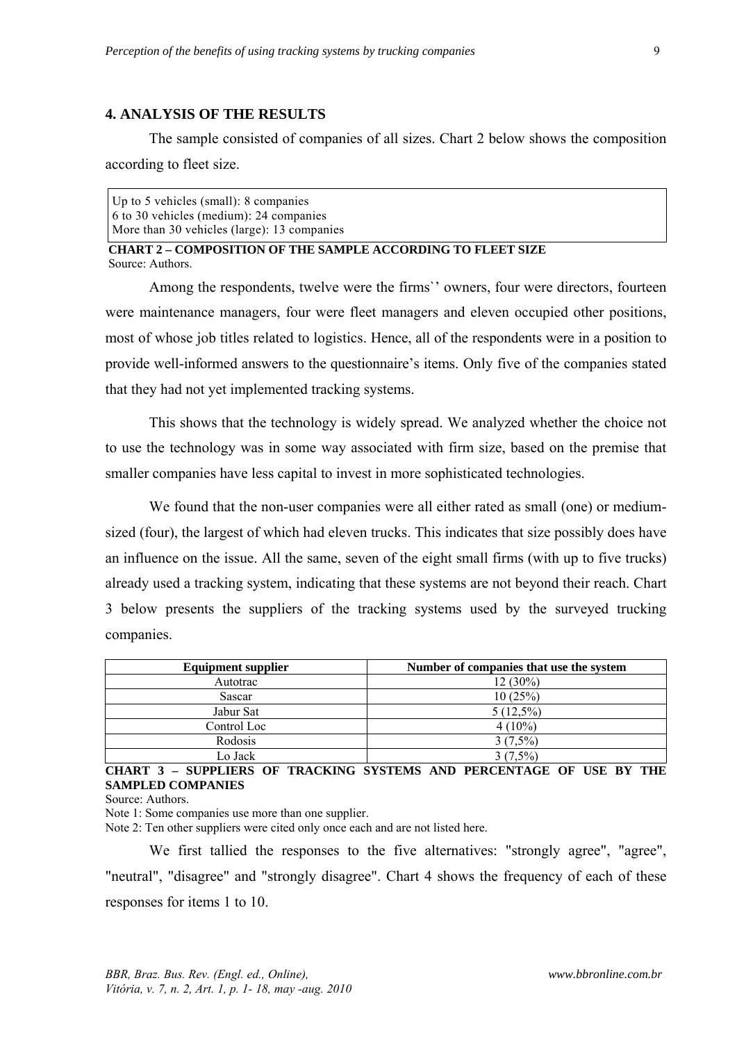#### **4. ANALYSIS OF THE RESULTS**

The sample consisted of companies of all sizes. Chart 2 below shows the composition according to fleet size.

Up to 5 vehicles (small): 8 companies 6 to 30 vehicles (medium): 24 companies More than 30 vehicles (large): 13 companies

 **CHART 2 – COMPOSITION OF THE SAMPLE ACCORDING TO FLEET SIZE**  Source: Authors.

Among the respondents, twelve were the firms`' owners, four were directors, fourteen were maintenance managers, four were fleet managers and eleven occupied other positions, most of whose job titles related to logistics. Hence, all of the respondents were in a position to provide well-informed answers to the questionnaire's items. Only five of the companies stated that they had not yet implemented tracking systems.

This shows that the technology is widely spread. We analyzed whether the choice not to use the technology was in some way associated with firm size, based on the premise that smaller companies have less capital to invest in more sophisticated technologies.

We found that the non-user companies were all either rated as small (one) or mediumsized (four), the largest of which had eleven trucks. This indicates that size possibly does have an influence on the issue. All the same, seven of the eight small firms (with up to five trucks) already used a tracking system, indicating that these systems are not beyond their reach. Chart 3 below presents the suppliers of the tracking systems used by the surveyed trucking companies.

| <b>Equipment supplier</b> | Number of companies that use the system |
|---------------------------|-----------------------------------------|
| Autotrac                  | $12(30\%)$                              |
| Sascar                    | 10(25%)                                 |
| Jabur Sat                 | $5(12,5\%)$                             |
| Control Loc               | $4(10\%)$                               |
| Rodosis                   | $3(7,5\%)$                              |
| Lo Jack                   | $3(7,5\%)$                              |

**CHART 3 – SUPPLIERS OF TRACKING SYSTEMS AND PERCENTAGE OF USE BY THE SAMPLED COMPANIES** 

Source: Authors.

Note 1: Some companies use more than one supplier.

Note 2: Ten other suppliers were cited only once each and are not listed here.

We first tallied the responses to the five alternatives: "strongly agree", "agree", "neutral", "disagree" and "strongly disagree". Chart 4 shows the frequency of each of these responses for items 1 to 10.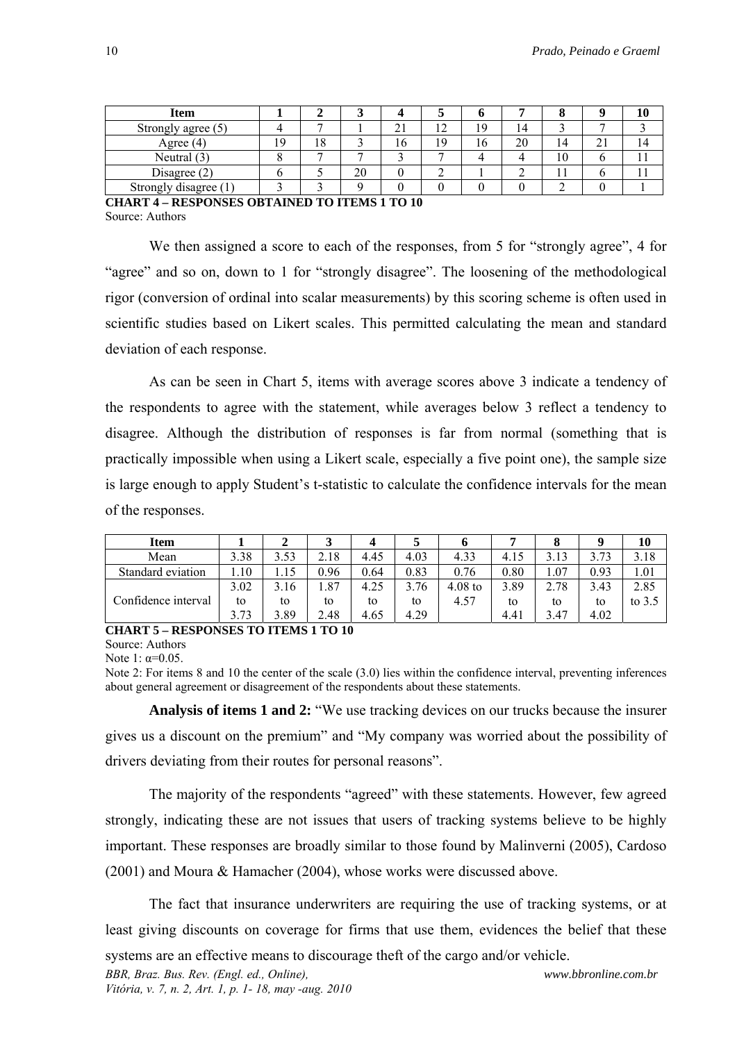| Item                  |    |    |    |           |             |    |    |    |         |  |
|-----------------------|----|----|----|-----------|-------------|----|----|----|---------|--|
| Strongly agree (5)    |    |    |    | ∠⊥        | $\sim$<br>- | 19 | 14 |    |         |  |
| Agree $(4)$           | ۱Q | 10 |    | $10^{-1}$ | 1 Q         | 16 | 20 | 14 | ◠<br>41 |  |
| Neutral $(3)$         |    |    |    |           |             |    |    | 10 |         |  |
| Disagree $(2)$        |    |    | 20 |           |             |    |    |    |         |  |
| Strongly disagree (1) |    |    |    |           |             |    |    |    |         |  |

**CHART 4 – RESPONSES OBTAINED TO ITEMS 1 TO 10**  Source: Authors

We then assigned a score to each of the responses, from 5 for "strongly agree", 4 for "agree" and so on, down to 1 for "strongly disagree". The loosening of the methodological rigor (conversion of ordinal into scalar measurements) by this scoring scheme is often used in scientific studies based on Likert scales. This permitted calculating the mean and standard deviation of each response.

As can be seen in Chart 5, items with average scores above 3 indicate a tendency of the respondents to agree with the statement, while averages below 3 reflect a tendency to disagree. Although the distribution of responses is far from normal (something that is practically impossible when using a Likert scale, especially a five point one), the sample size is large enough to apply Student's t-statistic to calculate the confidence intervals for the mean of the responses.

| <b>Item</b>         |      |      |      |      | ັ    |           |      |      |      | 10       |
|---------------------|------|------|------|------|------|-----------|------|------|------|----------|
| Mean                | 3.38 | 3.53 | 2.18 | 4.45 | 4.03 | 4.33      | 4.15 | 3.13 | 3.73 | 3.18     |
| Standard eviation   | .10  |      | 0.96 | 0.64 | 0.83 | 0.76      | 0.80 | 1.07 | 0.93 | 1.01     |
|                     | 3.02 | 3.16 | 1.87 | 4.25 | 76   | $4.08$ to | 3.89 | 2.78 | 3.43 | 2.85     |
| Confidence interval | to   | to   | to   | to   | to   | 4.57      | to   | to   | to   | to $3.5$ |
|                     | 3.73 | 3.89 | 2.48 | 4.65 | 4.29 |           | 4.41 | 3.47 | 4.02 |          |

#### **CHART 5 – RESPONSES TO ITEMS 1 TO 10**

Source: Authors

Note 1:  $\alpha = 0.05$ .

Note 2: For items 8 and 10 the center of the scale (3.0) lies within the confidence interval, preventing inferences about general agreement or disagreement of the respondents about these statements.

**Analysis of items 1 and 2:** "We use tracking devices on our trucks because the insurer gives us a discount on the premium" and "My company was worried about the possibility of drivers deviating from their routes for personal reasons".

The majority of the respondents "agreed" with these statements. However, few agreed strongly, indicating these are not issues that users of tracking systems believe to be highly important. These responses are broadly similar to those found by Malinverni (2005), Cardoso (2001) and Moura & Hamacher (2004), whose works were discussed above.

The fact that insurance underwriters are requiring the use of tracking systems, or at least giving discounts on coverage for firms that use them, evidences the belief that these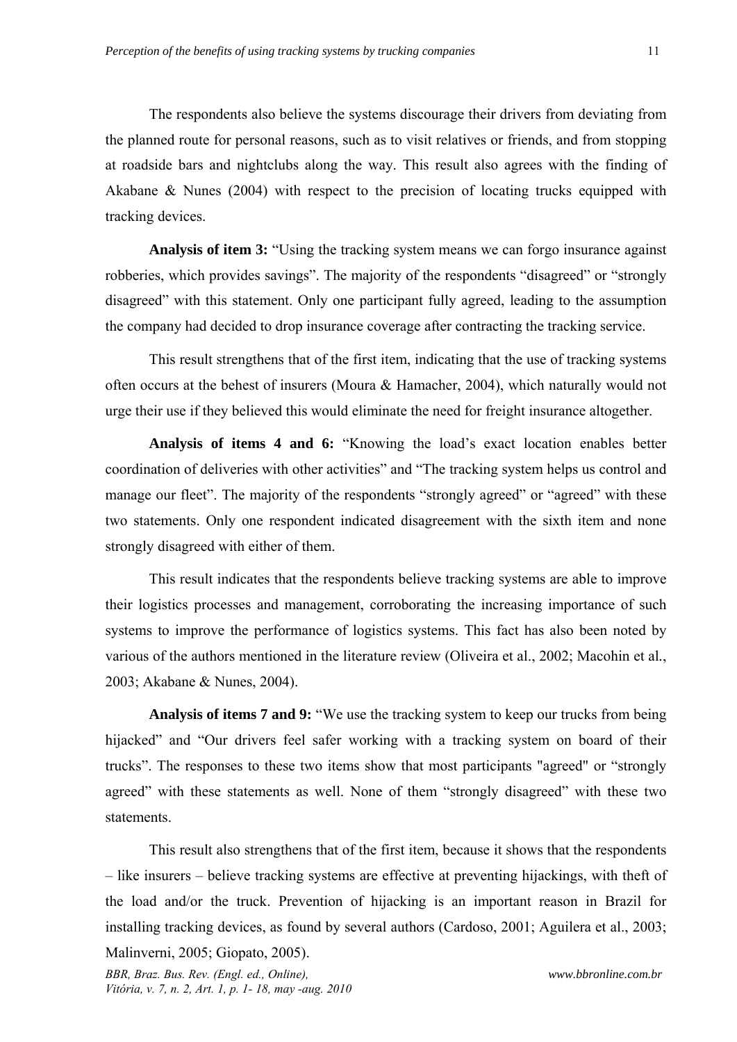The respondents also believe the systems discourage their drivers from deviating from the planned route for personal reasons, such as to visit relatives or friends, and from stopping at roadside bars and nightclubs along the way. This result also agrees with the finding of Akabane & Nunes (2004) with respect to the precision of locating trucks equipped with tracking devices.

**Analysis of item 3:** "Using the tracking system means we can forgo insurance against robberies, which provides savings". The majority of the respondents "disagreed" or "strongly disagreed" with this statement. Only one participant fully agreed, leading to the assumption the company had decided to drop insurance coverage after contracting the tracking service.

This result strengthens that of the first item, indicating that the use of tracking systems often occurs at the behest of insurers (Moura & Hamacher, 2004), which naturally would not urge their use if they believed this would eliminate the need for freight insurance altogether.

**Analysis of items 4 and 6:** "Knowing the load's exact location enables better coordination of deliveries with other activities" and "The tracking system helps us control and manage our fleet". The majority of the respondents "strongly agreed" or "agreed" with these two statements. Only one respondent indicated disagreement with the sixth item and none strongly disagreed with either of them.

This result indicates that the respondents believe tracking systems are able to improve their logistics processes and management, corroborating the increasing importance of such systems to improve the performance of logistics systems. This fact has also been noted by various of the authors mentioned in the literature review (Oliveira et al., 2002; Macohin et al*.*, 2003; Akabane & Nunes, 2004).

**Analysis of items 7 and 9:** "We use the tracking system to keep our trucks from being hijacked" and "Our drivers feel safer working with a tracking system on board of their trucks". The responses to these two items show that most participants "agreed" or "strongly agreed" with these statements as well. None of them "strongly disagreed" with these two statements.

This result also strengthens that of the first item, because it shows that the respondents – like insurers – believe tracking systems are effective at preventing hijackings, with theft of the load and/or the truck. Prevention of hijacking is an important reason in Brazil for installing tracking devices, as found by several authors (Cardoso, 2001; Aguilera et al., 2003;

Malinverni, 2005; Giopato, 2005).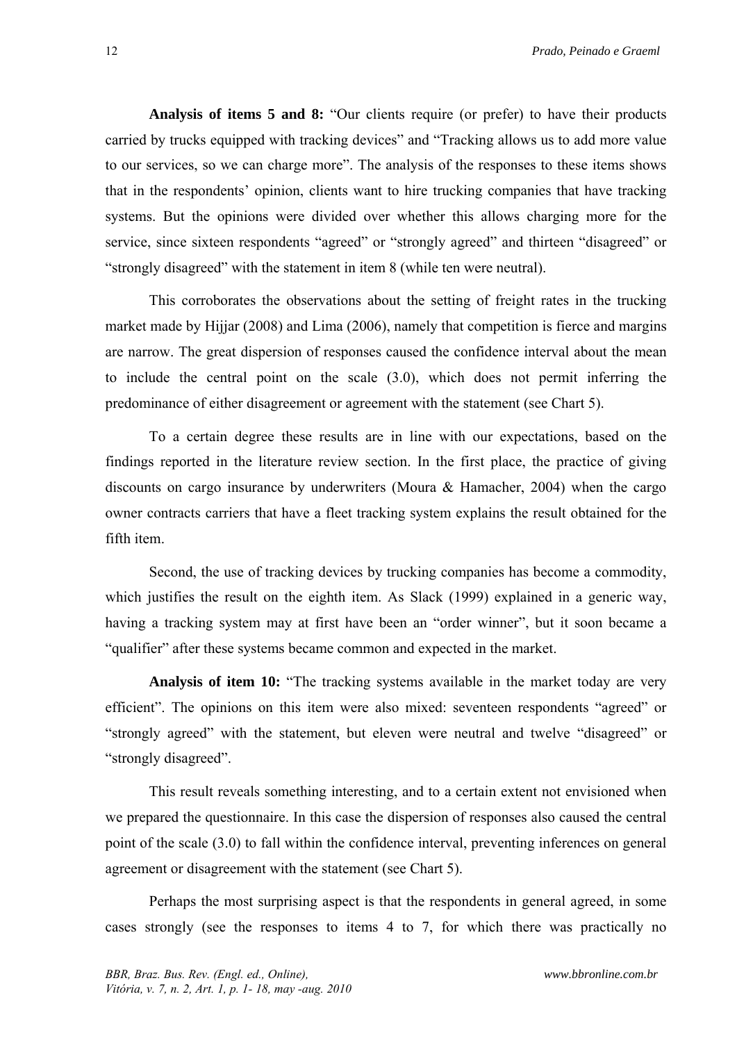**Analysis of items 5 and 8:** "Our clients require (or prefer) to have their products carried by trucks equipped with tracking devices" and "Tracking allows us to add more value to our services, so we can charge more". The analysis of the responses to these items shows that in the respondents' opinion, clients want to hire trucking companies that have tracking systems. But the opinions were divided over whether this allows charging more for the service, since sixteen respondents "agreed" or "strongly agreed" and thirteen "disagreed" or "strongly disagreed" with the statement in item 8 (while ten were neutral).

This corroborates the observations about the setting of freight rates in the trucking market made by Hijjar (2008) and Lima (2006), namely that competition is fierce and margins are narrow. The great dispersion of responses caused the confidence interval about the mean to include the central point on the scale (3.0), which does not permit inferring the predominance of either disagreement or agreement with the statement (see Chart 5).

To a certain degree these results are in line with our expectations, based on the findings reported in the literature review section. In the first place, the practice of giving discounts on cargo insurance by underwriters (Moura & Hamacher, 2004) when the cargo owner contracts carriers that have a fleet tracking system explains the result obtained for the fifth item.

Second, the use of tracking devices by trucking companies has become a commodity, which justifies the result on the eighth item. As Slack (1999) explained in a generic way, having a tracking system may at first have been an "order winner", but it soon became a "qualifier" after these systems became common and expected in the market.

**Analysis of item 10:** "The tracking systems available in the market today are very efficient". The opinions on this item were also mixed: seventeen respondents "agreed" or "strongly agreed" with the statement, but eleven were neutral and twelve "disagreed" or "strongly disagreed".

This result reveals something interesting, and to a certain extent not envisioned when we prepared the questionnaire. In this case the dispersion of responses also caused the central point of the scale (3.0) to fall within the confidence interval, preventing inferences on general agreement or disagreement with the statement (see Chart 5).

Perhaps the most surprising aspect is that the respondents in general agreed, in some cases strongly (see the responses to items 4 to 7, for which there was practically no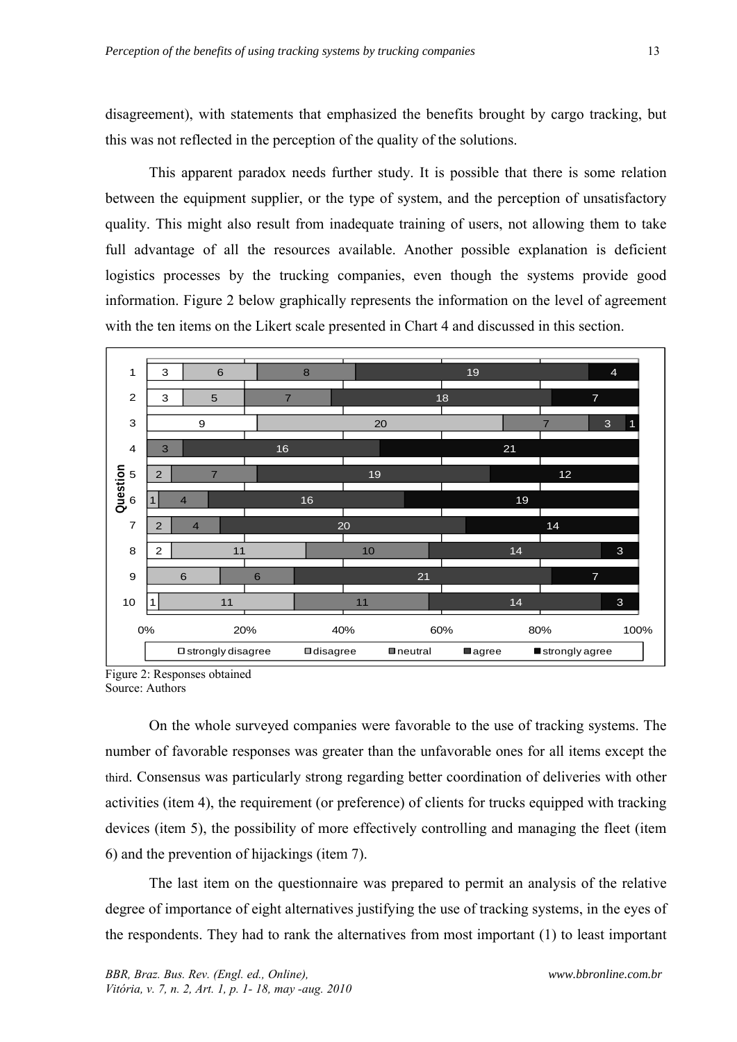disagreement), with statements that emphasized the benefits brought by cargo tracking, but this was not reflected in the perception of the quality of the solutions.

This apparent paradox needs further study. It is possible that there is some relation between the equipment supplier, or the type of system, and the perception of unsatisfactory quality. This might also result from inadequate training of users, not allowing them to take full advantage of all the resources available. Another possible explanation is deficient logistics processes by the trucking companies, even though the systems provide good information. Figure 2 below graphically represents the information on the level of agreement with the ten items on the Likert scale presented in Chart 4 and discussed in this section.



Figure 2: Responses obtained Source: Authors

On the whole surveyed companies were favorable to the use of tracking systems. The number of favorable responses was greater than the unfavorable ones for all items except the third. Consensus was particularly strong regarding better coordination of deliveries with other activities (item 4), the requirement (or preference) of clients for trucks equipped with tracking devices (item 5), the possibility of more effectively controlling and managing the fleet (item 6) and the prevention of hijackings (item 7).

The last item on the questionnaire was prepared to permit an analysis of the relative degree of importance of eight alternatives justifying the use of tracking systems, in the eyes of the respondents. They had to rank the alternatives from most important (1) to least important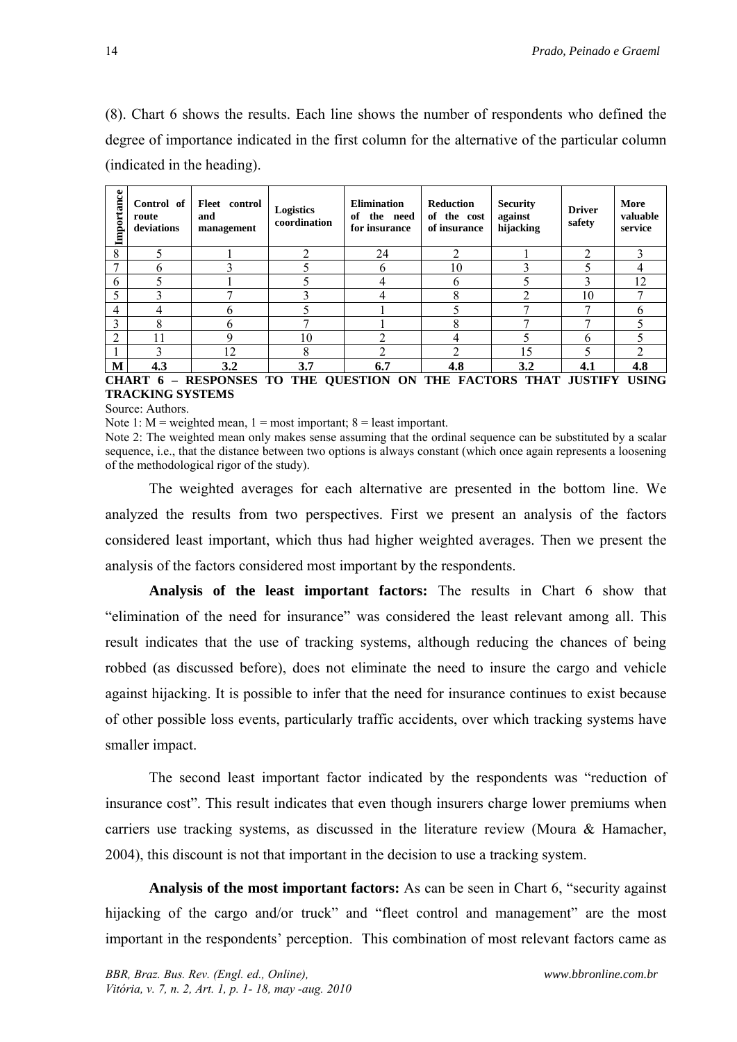(8). Chart 6 shows the results. Each line shows the number of respondents who defined the degree of importance indicated in the first column for the alternative of the particular column (indicated in the heading).

| Importance                                                                                                                                | Control of<br>route<br>deviations | Fleet<br>control<br>and<br>management | Logistics<br>coordination | <b>Elimination</b><br>the need<br>of<br>for insurance | Reduction<br>of the cost<br>of insurance | <b>Security</b><br>against<br>hijacking | <b>Driver</b><br>safety | More<br>valuable<br>service |  |
|-------------------------------------------------------------------------------------------------------------------------------------------|-----------------------------------|---------------------------------------|---------------------------|-------------------------------------------------------|------------------------------------------|-----------------------------------------|-------------------------|-----------------------------|--|
| 8                                                                                                                                         |                                   |                                       | ◠                         | 24                                                    | ◠                                        |                                         | ↑                       |                             |  |
|                                                                                                                                           |                                   |                                       |                           |                                                       | 10                                       |                                         |                         |                             |  |
| 6                                                                                                                                         |                                   |                                       |                           |                                                       | h                                        |                                         |                         | 12                          |  |
|                                                                                                                                           |                                   |                                       |                           |                                                       | 8                                        |                                         | 10                      |                             |  |
| 4                                                                                                                                         |                                   | 6                                     |                           |                                                       |                                          |                                         | π                       |                             |  |
| 3                                                                                                                                         |                                   | h                                     |                           |                                                       |                                          |                                         | −                       |                             |  |
| ↑                                                                                                                                         |                                   | q                                     | 10                        |                                                       |                                          |                                         | h                       |                             |  |
|                                                                                                                                           |                                   | 12                                    | 8                         |                                                       |                                          | 15                                      |                         |                             |  |
| M                                                                                                                                         | 4.3                               | 3.2                                   | 3.7                       | 6.7                                                   | 4.8                                      | 3.2                                     | 4.1                     | 4.8                         |  |
| <b>CHADT</b><br>HCINC<br><b>DECPONCES</b><br>ел <i>с</i> торс<br><b>HISTIEV</b><br>тл<br>THE<br><b>AHESTIAN</b><br>THE<br>ΛN<br>6<br>THAT |                                   |                                       |                           |                                                       |                                          |                                         |                         |                             |  |

**CHART 6 – RESPONSES TO THE QUESTION ON THE FACTORS THAT JUSTIFY USING TRACKING SYSTEMS** 

Source: Authors.

Note 1:  $M$  = weighted mean, 1 = most important; 8 = least important.

Note 2: The weighted mean only makes sense assuming that the ordinal sequence can be substituted by a scalar sequence, i.e., that the distance between two options is always constant (which once again represents a loosening of the methodological rigor of the study).

The weighted averages for each alternative are presented in the bottom line. We analyzed the results from two perspectives. First we present an analysis of the factors considered least important, which thus had higher weighted averages. Then we present the analysis of the factors considered most important by the respondents.

**Analysis of the least important factors:** The results in Chart 6 show that "elimination of the need for insurance" was considered the least relevant among all. This result indicates that the use of tracking systems, although reducing the chances of being robbed (as discussed before), does not eliminate the need to insure the cargo and vehicle against hijacking. It is possible to infer that the need for insurance continues to exist because of other possible loss events, particularly traffic accidents, over which tracking systems have smaller impact.

The second least important factor indicated by the respondents was "reduction of insurance cost". This result indicates that even though insurers charge lower premiums when carriers use tracking systems, as discussed in the literature review (Moura & Hamacher, 2004), this discount is not that important in the decision to use a tracking system.

**Analysis of the most important factors:** As can be seen in Chart 6, "security against hijacking of the cargo and/or truck" and "fleet control and management" are the most important in the respondents' perception. This combination of most relevant factors came as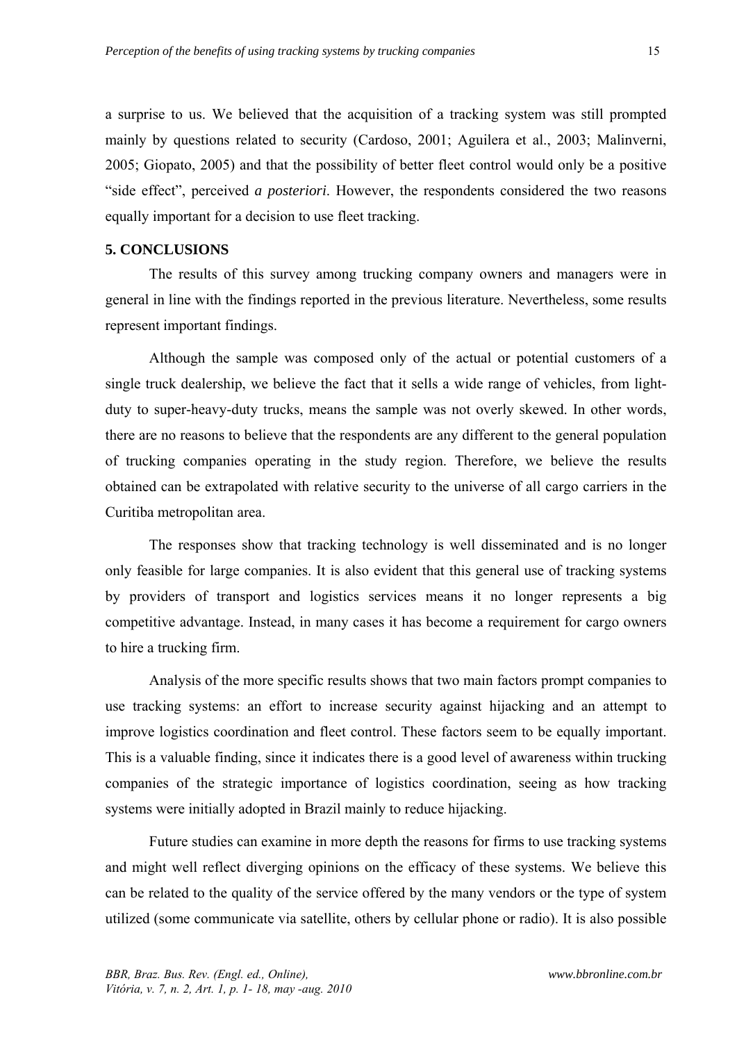a surprise to us. We believed that the acquisition of a tracking system was still prompted mainly by questions related to security (Cardoso, 2001; Aguilera et al., 2003; Malinverni, 2005; Giopato, 2005) and that the possibility of better fleet control would only be a positive "side effect", perceived *a posteriori*. However, the respondents considered the two reasons equally important for a decision to use fleet tracking.

### **5. CONCLUSIONS**

The results of this survey among trucking company owners and managers were in general in line with the findings reported in the previous literature. Nevertheless, some results represent important findings.

Although the sample was composed only of the actual or potential customers of a single truck dealership, we believe the fact that it sells a wide range of vehicles, from lightduty to super-heavy-duty trucks, means the sample was not overly skewed. In other words, there are no reasons to believe that the respondents are any different to the general population of trucking companies operating in the study region. Therefore, we believe the results obtained can be extrapolated with relative security to the universe of all cargo carriers in the Curitiba metropolitan area.

The responses show that tracking technology is well disseminated and is no longer only feasible for large companies. It is also evident that this general use of tracking systems by providers of transport and logistics services means it no longer represents a big competitive advantage. Instead, in many cases it has become a requirement for cargo owners to hire a trucking firm.

Analysis of the more specific results shows that two main factors prompt companies to use tracking systems: an effort to increase security against hijacking and an attempt to improve logistics coordination and fleet control. These factors seem to be equally important. This is a valuable finding, since it indicates there is a good level of awareness within trucking companies of the strategic importance of logistics coordination, seeing as how tracking systems were initially adopted in Brazil mainly to reduce hijacking.

Future studies can examine in more depth the reasons for firms to use tracking systems and might well reflect diverging opinions on the efficacy of these systems. We believe this can be related to the quality of the service offered by the many vendors or the type of system utilized (some communicate via satellite, others by cellular phone or radio). It is also possible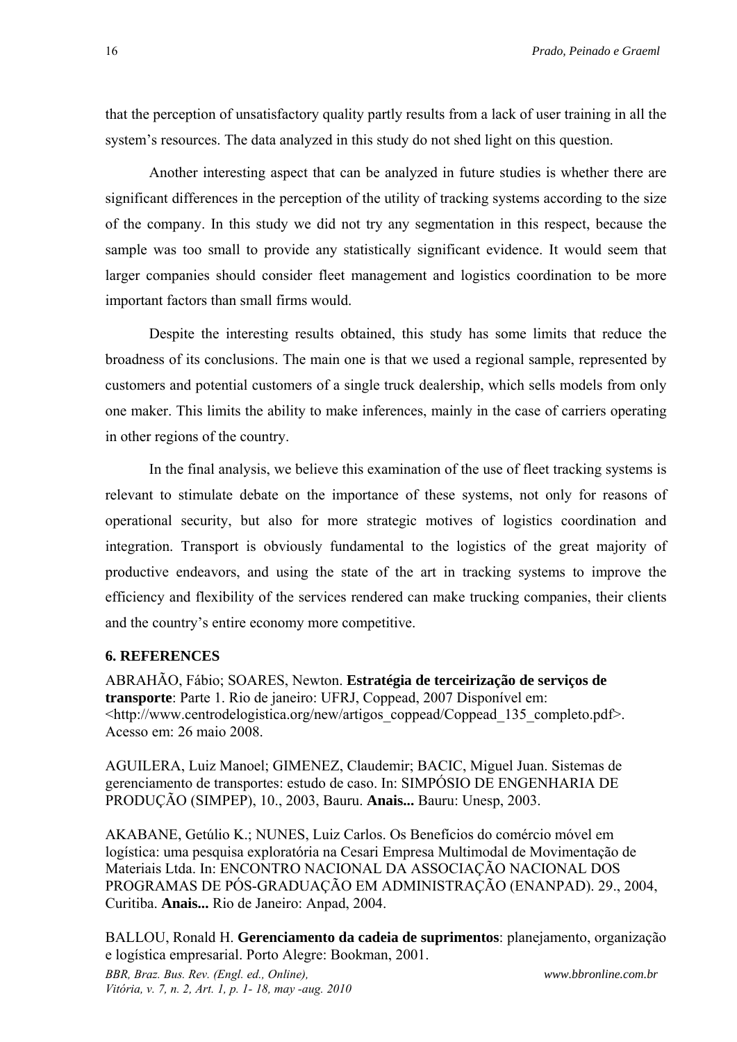that the perception of unsatisfactory quality partly results from a lack of user training in all the system's resources. The data analyzed in this study do not shed light on this question.

Another interesting aspect that can be analyzed in future studies is whether there are significant differences in the perception of the utility of tracking systems according to the size of the company. In this study we did not try any segmentation in this respect, because the sample was too small to provide any statistically significant evidence. It would seem that larger companies should consider fleet management and logistics coordination to be more important factors than small firms would.

Despite the interesting results obtained, this study has some limits that reduce the broadness of its conclusions. The main one is that we used a regional sample, represented by customers and potential customers of a single truck dealership, which sells models from only one maker. This limits the ability to make inferences, mainly in the case of carriers operating in other regions of the country.

In the final analysis, we believe this examination of the use of fleet tracking systems is relevant to stimulate debate on the importance of these systems, not only for reasons of operational security, but also for more strategic motives of logistics coordination and integration. Transport is obviously fundamental to the logistics of the great majority of productive endeavors, and using the state of the art in tracking systems to improve the efficiency and flexibility of the services rendered can make trucking companies, their clients and the country's entire economy more competitive.

## **6. REFERENCES**

ABRAHÃO, Fábio; SOARES, Newton. **Estratégia de terceirização de serviços de transporte**: Parte 1. Rio de janeiro: UFRJ, Coppead, 2007 Disponível em: <http://www.centrodelogistica.org/new/artigos\_coppead/Coppead\_135\_completo.pdf>. Acesso em: 26 maio 2008.

AGUILERA, Luiz Manoel; GIMENEZ, Claudemir; BACIC, Miguel Juan. Sistemas de gerenciamento de transportes: estudo de caso. In: SIMPÓSIO DE ENGENHARIA DE PRODUÇÃO (SIMPEP), 10., 2003, Bauru. **Anais...** Bauru: Unesp, 2003.

AKABANE, Getúlio K.; NUNES, Luiz Carlos. Os Benefícios do comércio móvel em logística: uma pesquisa exploratória na Cesari Empresa Multimodal de Movimentação de Materiais Ltda. In: ENCONTRO NACIONAL DA ASSOCIAÇÃO NACIONAL DOS PROGRAMAS DE PÓS-GRADUAÇÃO EM ADMINISTRAÇÃO (ENANPAD). 29., 2004, Curitiba. **Anais...** Rio de Janeiro: Anpad, 2004.

BALLOU, Ronald H. **Gerenciamento da cadeia de suprimentos**: planejamento, organização e logística empresarial. Porto Alegre: Bookman, 2001.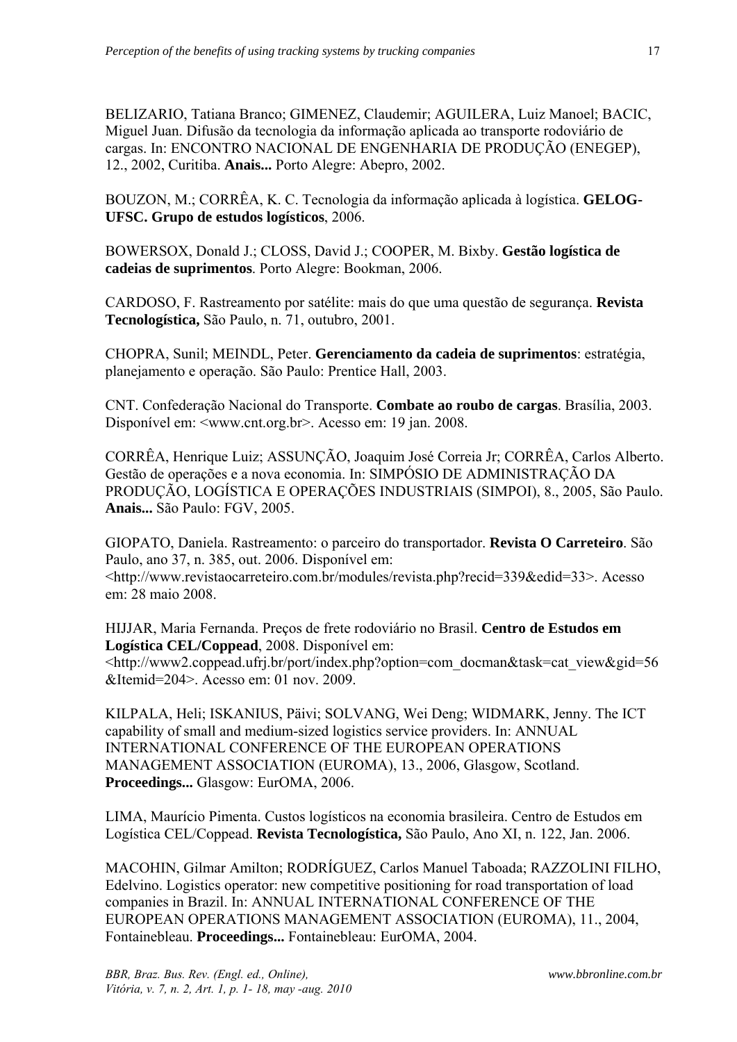BELIZARIO, Tatiana Branco; GIMENEZ, Claudemir; AGUILERA, Luiz Manoel; BACIC, Miguel Juan. Difusão da tecnologia da informação aplicada ao transporte rodoviário de cargas. In: ENCONTRO NACIONAL DE ENGENHARIA DE PRODUÇÃO (ENEGEP), 12., 2002, Curitiba. **Anais...** Porto Alegre: Abepro, 2002.

BOUZON, M.; CORRÊA, K. C. Tecnologia da informação aplicada à logística. **GELOG-UFSC. Grupo de estudos logísticos**, 2006.

BOWERSOX, Donald J.; CLOSS, David J.; COOPER, M. Bixby. **Gestão logística de cadeias de suprimentos**. Porto Alegre: Bookman, 2006.

CARDOSO, F. Rastreamento por satélite: mais do que uma questão de segurança. **Revista Tecnologística,** São Paulo, n. 71, outubro, 2001.

CHOPRA, Sunil; MEINDL, Peter. **Gerenciamento da cadeia de suprimentos**: estratégia, planejamento e operação. São Paulo: Prentice Hall, 2003.

CNT. Confederação Nacional do Transporte. **Combate ao roubo de cargas**. Brasília, 2003. Disponível em: <www.cnt.org.br>. Acesso em: 19 jan. 2008.

CORRÊA, Henrique Luiz; ASSUNÇÃO, Joaquim José Correia Jr; CORRÊA, Carlos Alberto. Gestão de operações e a nova economia. In: SIMPÓSIO DE ADMINISTRAÇÃO DA PRODUÇÃO, LOGÍSTICA E OPERAÇÕES INDUSTRIAIS (SIMPOI), 8., 2005, São Paulo. **Anais...** São Paulo: FGV, 2005.

GIOPATO, Daniela. Rastreamento: o parceiro do transportador. **Revista O Carreteiro**. São Paulo, ano 37, n. 385, out. 2006. Disponível em:

<http://www.revistaocarreteiro.com.br/modules/revista.php?recid=339&edid=33>. Acesso em: 28 maio 2008.

HIJJAR, Maria Fernanda. Preços de frete rodoviário no Brasil. **Centro de Estudos em Logística CEL/Coppead**, 2008. Disponível em: <http://www2.coppead.ufrj.br/port/index.php?option=com\_docman&task=cat\_view&gid=56 &Itemid=204>. Acesso em: 01 nov. 2009.

KILPALA, Heli; ISKANIUS, Päivi; SOLVANG, Wei Deng; WIDMARK, Jenny. The ICT capability of small and medium-sized logistics service providers. In: ANNUAL INTERNATIONAL CONFERENCE OF THE EUROPEAN OPERATIONS MANAGEMENT ASSOCIATION (EUROMA), 13., 2006, Glasgow, Scotland. **Proceedings...** Glasgow: EurOMA, 2006.

LIMA, Maurício Pimenta. Custos logísticos na economia brasileira. Centro de Estudos em Logística CEL/Coppead. **Revista Tecnologística,** São Paulo, Ano XI, n. 122, Jan. 2006.

MACOHIN, Gilmar Amilton; RODRÍGUEZ, Carlos Manuel Taboada; RAZZOLINI FILHO, Edelvino. Logistics operator: new competitive positioning for road transportation of load companies in Brazil. In: ANNUAL INTERNATIONAL CONFERENCE OF THE EUROPEAN OPERATIONS MANAGEMENT ASSOCIATION (EUROMA), 11., 2004, Fontainebleau. **Proceedings...** Fontainebleau: EurOMA, 2004.